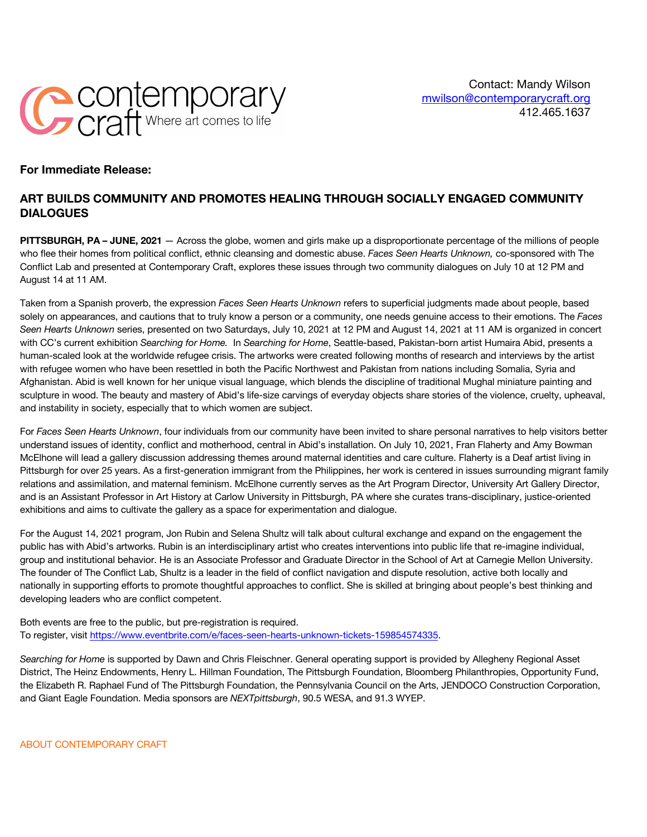

## **For Immediate Release:**

## **ART BUILDS COMMUNITY AND PROMOTES HEALING THROUGH SOCIALLY ENGAGED COMMUNITY DIALOGUES**

**PITTSBURGH, PA – JUNE, 2021** — Across the globe, women and girls make up a disproportionate percentage of the millions of people who flee their homes from political conflict, ethnic cleansing and domestic abuse. *Faces Seen Hearts Unknown,* co-sponsored with The Conflict Lab and presented at Contemporary Craft, explores these issues through two community dialogues on July 10 at 12 PM and August 14 at 11 AM.

Taken from a Spanish proverb, the expression *Faces Seen Hearts Unknown* refers to superficial judgments made about people, based solely on appearances, and cautions that to truly know a person or a community, one needs genuine access to their emotions. The *Faces Seen Hearts Unknown* series, presented on two Saturdays, July 10, 2021 at 12 PM and August 14, 2021 at 11 AM is organized in concert with CC's current exhibition *Searching for Home.* In *Searching for Home*, Seattle-based, Pakistan-born artist Humaira Abid, presents a human-scaled look at the worldwide refugee crisis. The artworks were created following months of research and interviews by the artist with refugee women who have been resettled in both the Pacific Northwest and Pakistan from nations including Somalia, Syria and Afghanistan. Abid is well known for her unique visual language, which blends the discipline of traditional Mughal miniature painting and sculpture in wood. The beauty and mastery of Abid's life-size carvings of everyday objects share stories of the violence, cruelty, upheaval, and instability in society, especially that to which women are subject.

For *Faces Seen Hearts Unknown*, four individuals from our community have been invited to share personal narratives to help visitors better understand issues of identity, conflict and motherhood, central in Abid's installation. On July 10, 2021, Fran Flaherty and Amy Bowman McElhone will lead a gallery discussion addressing themes around maternal identities and care culture. Flaherty is a Deaf artist living in Pittsburgh for over 25 years. As a first-generation immigrant from the Philippines, her work is centered in issues surrounding migrant family relations and assimilation, and maternal feminism. McElhone currently serves as the Art Program Director, University Art Gallery Director, and is an Assistant Professor in Art History at Carlow University in Pittsburgh, PA where she curates trans-disciplinary, justice-oriented exhibitions and aims to cultivate the gallery as a space for experimentation and dialogue.

For the August 14, 2021 program, Jon Rubin and Selena Shultz will talk about cultural exchange and expand on the engagement the public has with Abid's artworks. Rubin is an interdisciplinary artist who creates interventions into public life that re-imagine individual, group and institutional behavior. He is an Associate Professor and Graduate Director in the School of Art at Carnegie Mellon University. The founder of The Conflict Lab, Shultz is a leader in the field of conflict navigation and dispute resolution, active both locally and nationally in supporting efforts to promote thoughtful approaches to conflict. She is skilled at bringing about people's best thinking and developing leaders who are conflict competent.

Both events are free to the public, but pre-registration is required. To register, visit https://www.eventbrite.com/e/faces-seen-hearts-unknown-tickets-159854574335.

*Searching for Home* is supported by Dawn and Chris Fleischner. General operating support is provided by Allegheny Regional Asset District, The Heinz Endowments, Henry L. Hillman Foundation, The Pittsburgh Foundation, Bloomberg Philanthropies, Opportunity Fund, the Elizabeth R. Raphael Fund of The Pittsburgh Foundation, the Pennsylvania Council on the Arts, JENDOCO Construction Corporation, and Giant Eagle Foundation. Media sponsors are *NEXTpittsburgh*, 90.5 WESA, and 91.3 WYEP.